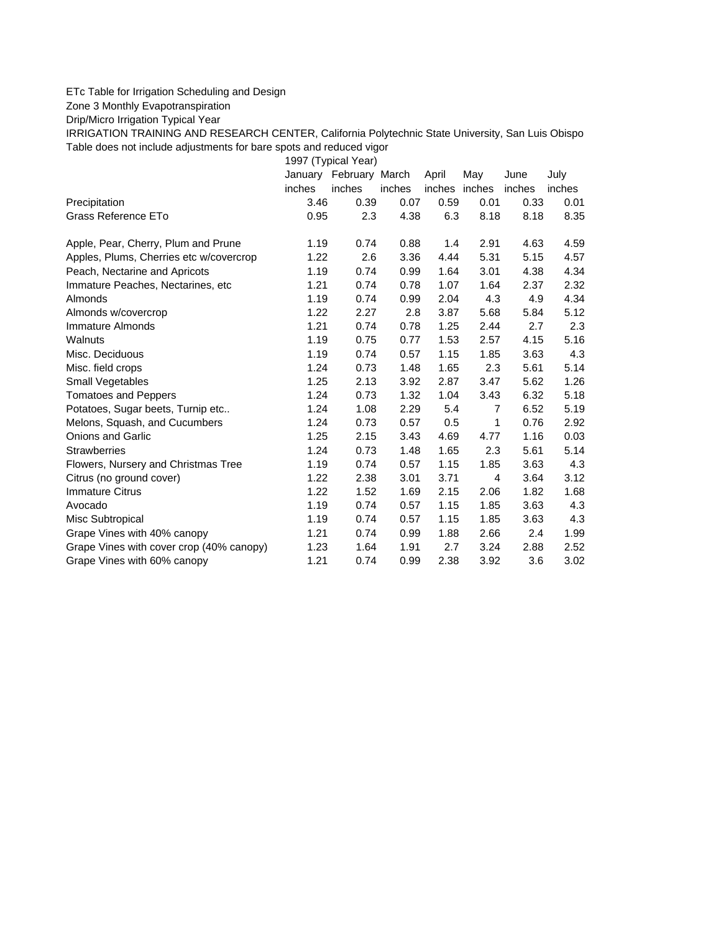## ETc Table for Irrigation Scheduling and Design

Zone 3 Monthly Evapotranspiration

Drip/Micro Irrigation Typical Year

IRRIGATION TRAINING AND RESEARCH CENTER, California Polytechnic State University, San Luis Obispo Table does not include adjustments for bare spots and reduced vigor

1997 (Typical Year)

|                                          |        | January February March |        | April         | May  | June   | July   |
|------------------------------------------|--------|------------------------|--------|---------------|------|--------|--------|
|                                          | inches | inches                 | inches | inches inches |      | inches | inches |
| Precipitation                            | 3.46   | 0.39                   | 0.07   | 0.59          | 0.01 | 0.33   | 0.01   |
| Grass Reference ETo                      | 0.95   | 2.3                    | 4.38   | 6.3           | 8.18 | 8.18   | 8.35   |
| Apple, Pear, Cherry, Plum and Prune      | 1.19   | 0.74                   | 0.88   | 1.4           | 2.91 | 4.63   | 4.59   |
| Apples, Plums, Cherries etc w/covercrop  | 1.22   | 2.6                    | 3.36   | 4.44          | 5.31 | 5.15   | 4.57   |
| Peach, Nectarine and Apricots            | 1.19   | 0.74                   | 0.99   | 1.64          | 3.01 | 4.38   | 4.34   |
| Immature Peaches, Nectarines, etc.       | 1.21   | 0.74                   | 0.78   | 1.07          | 1.64 | 2.37   | 2.32   |
| Almonds                                  | 1.19   | 0.74                   | 0.99   | 2.04          | 4.3  | 4.9    | 4.34   |
| Almonds w/covercrop                      | 1.22   | 2.27                   | 2.8    | 3.87          | 5.68 | 5.84   | 5.12   |
| Immature Almonds                         | 1.21   | 0.74                   | 0.78   | 1.25          | 2.44 | 2.7    | 2.3    |
| Walnuts                                  | 1.19   | 0.75                   | 0.77   | 1.53          | 2.57 | 4.15   | 5.16   |
| Misc. Deciduous                          | 1.19   | 0.74                   | 0.57   | 1.15          | 1.85 | 3.63   | 4.3    |
| Misc. field crops                        | 1.24   | 0.73                   | 1.48   | 1.65          | 2.3  | 5.61   | 5.14   |
| Small Vegetables                         | 1.25   | 2.13                   | 3.92   | 2.87          | 3.47 | 5.62   | 1.26   |
| <b>Tomatoes and Peppers</b>              | 1.24   | 0.73                   | 1.32   | 1.04          | 3.43 | 6.32   | 5.18   |
| Potatoes, Sugar beets, Turnip etc        | 1.24   | 1.08                   | 2.29   | 5.4           | 7    | 6.52   | 5.19   |
| Melons, Squash, and Cucumbers            | 1.24   | 0.73                   | 0.57   | 0.5           | 1    | 0.76   | 2.92   |
| <b>Onions and Garlic</b>                 | 1.25   | 2.15                   | 3.43   | 4.69          | 4.77 | 1.16   | 0.03   |
| <b>Strawberries</b>                      | 1.24   | 0.73                   | 1.48   | 1.65          | 2.3  | 5.61   | 5.14   |
| Flowers, Nursery and Christmas Tree      | 1.19   | 0.74                   | 0.57   | 1.15          | 1.85 | 3.63   | 4.3    |
| Citrus (no ground cover)                 | 1.22   | 2.38                   | 3.01   | 3.71          | 4    | 3.64   | 3.12   |
| <b>Immature Citrus</b>                   | 1.22   | 1.52                   | 1.69   | 2.15          | 2.06 | 1.82   | 1.68   |
| Avocado                                  | 1.19   | 0.74                   | 0.57   | 1.15          | 1.85 | 3.63   | 4.3    |
| Misc Subtropical                         | 1.19   | 0.74                   | 0.57   | 1.15          | 1.85 | 3.63   | 4.3    |
| Grape Vines with 40% canopy              | 1.21   | 0.74                   | 0.99   | 1.88          | 2.66 | 2.4    | 1.99   |
| Grape Vines with cover crop (40% canopy) | 1.23   | 1.64                   | 1.91   | 2.7           | 3.24 | 2.88   | 2.52   |
| Grape Vines with 60% canopy              | 1.21   | 0.74                   | 0.99   | 2.38          | 3.92 | 3.6    | 3.02   |